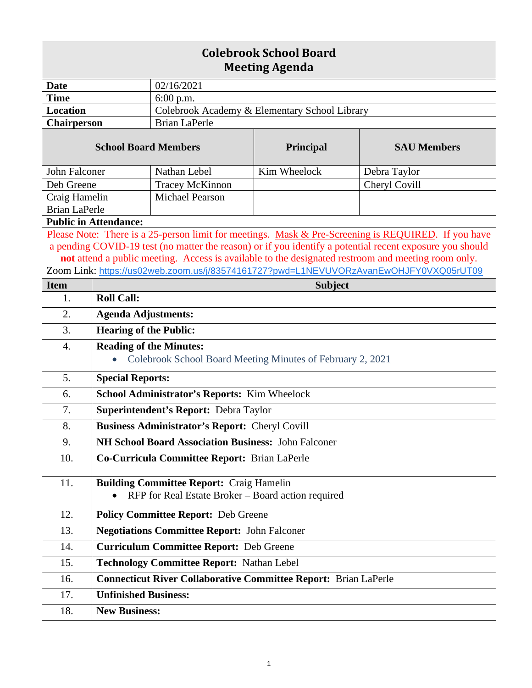| <b>Colebrook School Board</b><br><b>Meeting Agenda</b>                                                                                                                                                         |                                                                        |                                                    |                    |                                                                                       |  |
|----------------------------------------------------------------------------------------------------------------------------------------------------------------------------------------------------------------|------------------------------------------------------------------------|----------------------------------------------------|--------------------|---------------------------------------------------------------------------------------|--|
| <b>Date</b>                                                                                                                                                                                                    |                                                                        | 02/16/2021                                         |                    |                                                                                       |  |
| <b>Time</b>                                                                                                                                                                                                    |                                                                        | 6:00 p.m.                                          |                    |                                                                                       |  |
| <b>Location</b>                                                                                                                                                                                                |                                                                        | Colebrook Academy & Elementary School Library      |                    |                                                                                       |  |
| <b>Chairperson</b>                                                                                                                                                                                             |                                                                        | <b>Brian LaPerle</b>                               |                    |                                                                                       |  |
| <b>School Board Members</b>                                                                                                                                                                                    |                                                                        | <b>Principal</b>                                   | <b>SAU Members</b> |                                                                                       |  |
| John Falconer                                                                                                                                                                                                  |                                                                        | Nathan Lebel                                       | Kim Wheelock       | Debra Taylor                                                                          |  |
| Deb Greene                                                                                                                                                                                                     |                                                                        | <b>Tracey McKinnon</b>                             |                    | Cheryl Covill                                                                         |  |
| Craig Hamelin                                                                                                                                                                                                  |                                                                        | <b>Michael Pearson</b>                             |                    |                                                                                       |  |
| <b>Brian LaPerle</b>                                                                                                                                                                                           |                                                                        |                                                    |                    |                                                                                       |  |
| <b>Public in Attendance:</b><br>Please Note: There is a 25-person limit for meetings. Mask & Pre-Screening is REQUIRED. If you have                                                                            |                                                                        |                                                    |                    |                                                                                       |  |
|                                                                                                                                                                                                                |                                                                        |                                                    |                    |                                                                                       |  |
| a pending COVID-19 test (no matter the reason) or if you identify a potential recent exposure you should<br>not attend a public meeting. Access is available to the designated restroom and meeting room only. |                                                                        |                                                    |                    |                                                                                       |  |
|                                                                                                                                                                                                                |                                                                        |                                                    |                    | Zoom Link: https://us02web.zoom.us/j/83574161727?pwd=L1NEVUVORzAvanEwOHJFY0VXQ05rUT09 |  |
| <b>Item</b>                                                                                                                                                                                                    | <b>Subject</b>                                                         |                                                    |                    |                                                                                       |  |
| 1.                                                                                                                                                                                                             | <b>Roll Call:</b>                                                      |                                                    |                    |                                                                                       |  |
| 2.                                                                                                                                                                                                             | <b>Agenda Adjustments:</b>                                             |                                                    |                    |                                                                                       |  |
| 3.                                                                                                                                                                                                             | <b>Hearing of the Public:</b>                                          |                                                    |                    |                                                                                       |  |
| $\overline{4}$ .                                                                                                                                                                                               | <b>Reading of the Minutes:</b>                                         |                                                    |                    |                                                                                       |  |
|                                                                                                                                                                                                                | Colebrook School Board Meeting Minutes of February 2, 2021             |                                                    |                    |                                                                                       |  |
| 5.                                                                                                                                                                                                             | <b>Special Reports:</b>                                                |                                                    |                    |                                                                                       |  |
| 6.                                                                                                                                                                                                             | <b>School Administrator's Reports:</b> Kim Wheelock                    |                                                    |                    |                                                                                       |  |
| 7.                                                                                                                                                                                                             | Superintendent's Report: Debra Taylor                                  |                                                    |                    |                                                                                       |  |
| 8.                                                                                                                                                                                                             | <b>Business Administrator's Report: Cheryl Covill</b>                  |                                                    |                    |                                                                                       |  |
| 9.                                                                                                                                                                                                             | NH School Board Association Business: John Falconer                    |                                                    |                    |                                                                                       |  |
| 10.                                                                                                                                                                                                            | Co-Curricula Committee Report: Brian LaPerle                           |                                                    |                    |                                                                                       |  |
| 11.                                                                                                                                                                                                            | <b>Building Committee Report: Craig Hamelin</b>                        |                                                    |                    |                                                                                       |  |
|                                                                                                                                                                                                                |                                                                        | RFP for Real Estate Broker - Board action required |                    |                                                                                       |  |
| 12.                                                                                                                                                                                                            | <b>Policy Committee Report: Deb Greene</b>                             |                                                    |                    |                                                                                       |  |
| 13.                                                                                                                                                                                                            | <b>Negotiations Committee Report: John Falconer</b>                    |                                                    |                    |                                                                                       |  |
| 14.                                                                                                                                                                                                            | <b>Curriculum Committee Report: Deb Greene</b>                         |                                                    |                    |                                                                                       |  |
| 15.                                                                                                                                                                                                            | Technology Committee Report: Nathan Lebel                              |                                                    |                    |                                                                                       |  |
| 16.                                                                                                                                                                                                            | <b>Connecticut River Collaborative Committee Report: Brian LaPerle</b> |                                                    |                    |                                                                                       |  |
| 17.                                                                                                                                                                                                            | <b>Unfinished Business:</b>                                            |                                                    |                    |                                                                                       |  |
| 18.                                                                                                                                                                                                            | <b>New Business:</b>                                                   |                                                    |                    |                                                                                       |  |